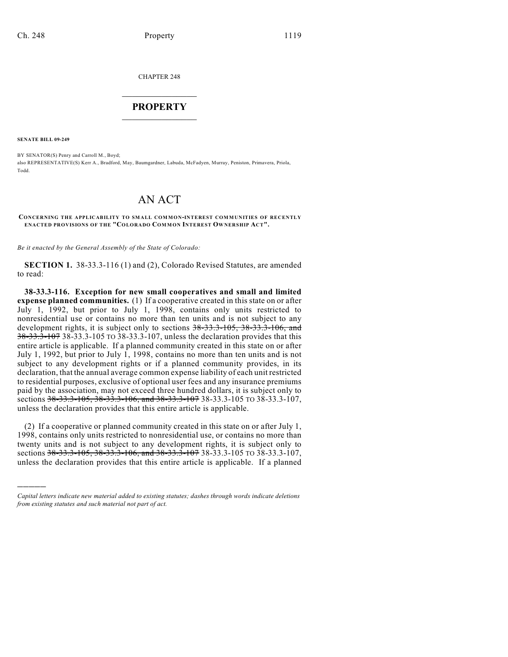CHAPTER 248

## $\overline{\phantom{a}}$  . The set of the set of the set of the set of the set of the set of the set of the set of the set of the set of the set of the set of the set of the set of the set of the set of the set of the set of the set o **PROPERTY**  $\_$   $\_$   $\_$   $\_$   $\_$   $\_$   $\_$   $\_$   $\_$

**SENATE BILL 09-249**

)))))

BY SENATOR(S) Penry and Carroll M., Boyd; also REPRESENTATIVE(S) Kerr A., Bradford, May, Baumgardner, Labuda, McFadyen, Murray, Peniston, Primavera, Priola, Todd.

## AN ACT

**CONCERNING THE APPLICABILITY TO SMALL COMMON-INTEREST COMMUNITIES OF RECENTLY ENACTED PROVISIONS OF THE "COLORADO COM MON INTEREST OWNERSHIP ACT".**

*Be it enacted by the General Assembly of the State of Colorado:*

**SECTION 1.** 38-33.3-116 (1) and (2), Colorado Revised Statutes, are amended to read:

**38-33.3-116. Exception for new small cooperatives and small and limited expense planned communities.** (1) If a cooperative created in this state on or after July 1, 1992, but prior to July 1, 1998, contains only units restricted to nonresidential use or contains no more than ten units and is not subject to any development rights, it is subject only to sections 38-33.3-105, 38-33.3-106, and 38-33.3-107 38-33.3-105 TO 38-33.3-107, unless the declaration provides that this entire article is applicable. If a planned community created in this state on or after July 1, 1992, but prior to July 1, 1998, contains no more than ten units and is not subject to any development rights or if a planned community provides, in its declaration, that the annual average common expense liability of each unit restricted to residential purposes, exclusive of optional user fees and any insurance premiums paid by the association, may not exceed three hundred dollars, it is subject only to sections 38-33.3-105, 38-33.3-106, and 38-33.3-107 38-33.3-105 TO 38-33.3-107, unless the declaration provides that this entire article is applicable.

(2) If a cooperative or planned community created in this state on or after July 1, 1998, contains only units restricted to nonresidential use, or contains no more than twenty units and is not subject to any development rights, it is subject only to sections 38-33.3-105, 38-33.3-106, and 38-33.3-107 38-33.3-105 TO 38-33.3-107, unless the declaration provides that this entire article is applicable. If a planned

*Capital letters indicate new material added to existing statutes; dashes through words indicate deletions from existing statutes and such material not part of act.*